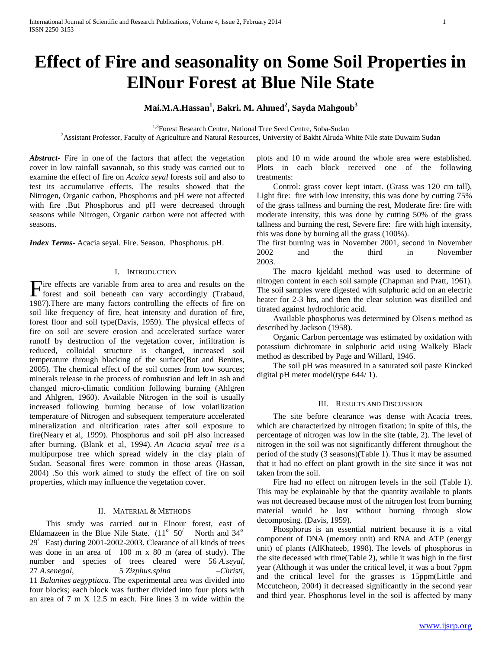# **Effect of Fire and seasonality on Some Soil Properties in ElNour Forest at Blue Nile State**

# **Mai.M.A.Hassan<sup>1</sup> , Bakri. M. Ahmed<sup>2</sup> , Sayda Mahgoub<sup>3</sup>**

<sup>1,3</sup>Forest Research Centre, National Tree Seed Centre, Soba-Sudan

<sup>2</sup>Assistant Professor, Faculty of Agriculture and Natural Resources, University of Bakht Alruda White Nile state Duwaim Sudan

*Abstract***-** Fire in one of the factors that affect the vegetation cover in low rainfall savannah, so this study was carried out to examine the effect of fire on *Acaica seyal* forests soil and also to test its accumulative effects. The results showed that the Nitrogen, Organic carbon, Phosphorus and pH were not affected with fire .But Phosphorus and pH were decreased through seasons while Nitrogen, Organic carbon were not affected with seasons.

*Index Terms*- Acacia seyal. Fire. Season. Phosphorus. pH.

## I. INTRODUCTION

ire effects are variable from area to area and results on the Fire effects are variable from area to area and results on the forest and soil beneath can vary accordingly (Trabaud, 1987).There are many factors controlling the effects of fire on soil like frequency of fire, heat intensity and duration of fire, forest floor and soil type(Davis, 1959). The physical effects of fire on soil are severe erosion and accelerated surface water runoff by destruction of the vegetation cover, infiltration is reduced, colloidal structure is changed, increased soil temperature through blacking of the surface(Bot and Benites, 2005). The chemical effect of the soil comes from tow sources; minerals release in the process of combustion and left in ash and changed micro-climatic condition following burning (Ahlgren and Ahlgren, 1960). Available Nitrogen in the soil is usually increased following burning because of low volatilization temperature of Nitrogen and subsequent temperature accelerated mineralization and nitrification rates after soil exposure to fire(Neary et al, 1999). Phosphorus and soil pH also increased after burning. (Blank et al, 1994). *An Acacia seyal tree is* a multipurpose tree which spread widely in the clay plain of Sudan. Seasonal fires were common in those areas (Hassan, 2004) .So this work aimed to study the effect of fire on soil properties, which may influence the vegetation cover.

## II. MATERIAL & METHODS

 This study was carried out in Elnour forest, east of Eldamazeen in the Blue Nile State.  $(11^{\circ} 50^{\circ})$  North and 34<sup>o</sup>  $29'$  East) during 2001-2002-2003. Clearance of all kinds of trees was done in an area of 100 m x 80 m (area of study). The number and species of trees cleared were 56 *A.seyal*, 27 *A.senegal*, 5 *Zizphus.spina –Christi*, 11 *Balanites aegyptiaca*. The experimental area was divided into four blocks; each block was further divided into four plots with an area of 7 m X 12.5 m each. Fire lines 3 m wide within the

plots and 10 m wide around the whole area were established. Plots in each block received one of the following treatments:

 Control: grass cover kept intact. (Grass was 120 cm tall), Light fire: fire with low intensity, this was done by cutting 75% of the grass tallness and burning the rest, Moderate fire: fire with moderate intensity, this was done by cutting 50% of the grass tallness and burning the rest, Severe fire: fire with high intensity, this was done by burning all the grass (100%).

The first burning was in November 2001, second in November 2002 and the third in November 2003.

 The macro kjeldahl method was used to determine of nitrogen content in each soil sample (Chapman and Pratt, 1961). The soil samples were digested with sulphuric acid on an electric heater for 2-3 hrs, and then the clear solution was distilled and titrated against hydrochloric acid.

Available phosphorus was determined by Olsen's method as described by Jackson (1958).

 Organic Carbon percentage was estimated by oxidation with potassium dichromate in sulphuric acid using Walkely Black method as described by Page and Willard, 1946.

 The soil pH was measured in a saturated soil paste Kincked digital pH meter model(type 644/ 1).

#### III. RESULTS AND DISCUSSION

 The site before clearance was dense with Acacia trees, which are characterized by nitrogen fixation; in spite of this, the percentage of nitrogen was low in the site (table, 2). The level of nitrogen in the soil was not significantly different throughout the period of the study (3 seasons)(Table 1). Thus it may be assumed that it had no effect on plant growth in the site since it was not taken from the soil.

 Fire had no effect on nitrogen levels in the soil (Table 1). This may be explainable by that the quantity available to plants was not decreased because most of the nitrogen lost from burning material would be lost without burning through slow decomposing. (Davis, 1959).

 Phosphorus is an essential nutrient because it is a vital component of DNA (memory unit) and RNA and ATP (energy unit) of plants (AlKhateeb, 1998). The levels of phosphorus in the site deceased with time(Table 2), while it was high in the first year (Although it was under the critical level, it was a bout 7ppm and the critical level for the grasses is 15ppm(Little and Mccutcheon, 2004) it decreased significantly in the second year and third year. Phosphorus level in the soil is affected by many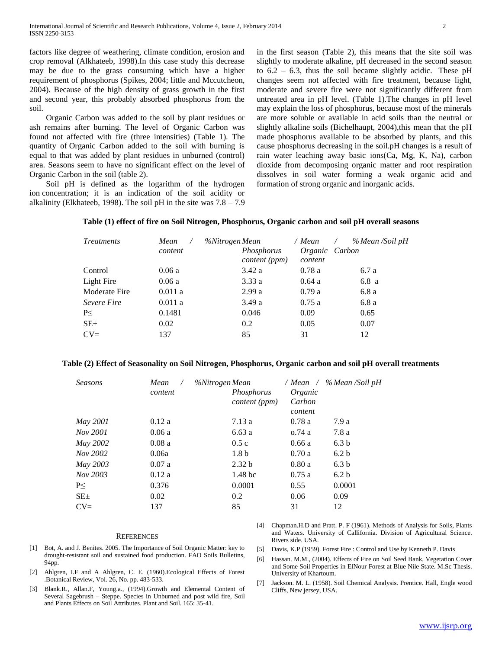factors like degree of weathering, climate condition, erosion and crop removal (Alkhateeb, 1998).In this case study this decrease may be due to the grass consuming which have a higher requirement of phosphorus (Spikes, 2004; little and Mccutcheon, 2004). Because of the high density of grass growth in the first and second year, this probably absorbed phosphorus from the soil.

 Organic Carbon was added to the soil by plant residues or ash remains after burning. The level of Organic Carbon was found not affected with fire (three intensities) (Table 1). The quantity of Organic Carbon added to the soil with burning is equal to that was added by plant residues in unburned (control) area. Seasons seem to have no significant effect on the level of Organic Carbon in the soil (table 2).

 Soil pH is defined as the logarithm of the hydrogen ion concentration; it is an indication of the soil acidity or alkalinity (Elkhateeb, 1998). The soil pH in the site was  $7.8 - 7.9$  in the first season (Table 2), this means that the site soil was slightly to moderate alkaline, pH decreased in the second season to  $6.2 - 6.3$ , thus the soil became slightly acidic. These pH changes seem not affected with fire treatment, because light, moderate and severe fire were not significantly different from untreated area in pH level. (Table 1).The changes in pH level may explain the loss of phosphorus, because most of the minerals are more soluble or available in acid soils than the neutral or slightly alkaline soils (Bichelhaupt, 2004),this mean that the pH made phosphorus available to be absorbed by plants, and this cause phosphorus decreasing in the soil.pH changes is a result of rain water leaching away basic ions(Ca, Mg, K, Na), carbon dioxide from decomposing organic matter and root respiration dissolves in soil water forming a weak organic acid and formation of strong organic and inorganic acids.

| <i>Treatments</i> | Mean    | %Nitrogen Mean              | / Mean                    | % Mean /Soil pH<br>$\sqrt{2}$ |  |
|-------------------|---------|-----------------------------|---------------------------|-------------------------------|--|
|                   | content | Phosphorus<br>content (ppm) | Organic Carbon<br>content |                               |  |
| Control           | 0.06a   | 3.42a                       | 0.78a                     | 6.7 a                         |  |
| Light Fire        | 0.06a   | 3.33a                       | 0.64a                     | 6.8a                          |  |
| Moderate Fire     | 0.011a  | 2.99a                       | 0.79a                     | 6.8a                          |  |
| Severe Fire       | 0.011a  | 3.49a                       | 0.75a                     | 6.8a                          |  |
| P<                | 0.1481  | 0.046                       | 0.09                      | 0.65                          |  |
| $SE_{\pm}$        | 0.02    | 0.2                         | 0.05                      | 0.07                          |  |
| $CV =$            | 137     | 85                          | 31                        | 12                            |  |

# **Table (1) effect of fire on Soil Nitrogen, Phosphorus, Organic carbon and soil pH overall seasons**

# **Table (2) Effect of Seasonality on Soil Nitrogen, Phosphorus, Organic carbon and soil pH overall treatments**

| <b>Seasons</b> | Mean<br>content | %Nitrogen Mean<br>Phosphorus<br><i>content</i> ( <i>ppm</i> ) | Organic<br>Carbon<br>content | / Mean / % Mean / Soil pH |
|----------------|-----------------|---------------------------------------------------------------|------------------------------|---------------------------|
| May 2001       | 0.12a           | 7.13a                                                         | 0.78a                        | 7.9 a                     |
| Nov 2001       | 0.06a           | 6.63a                                                         | o.74 a                       | 7.8 a                     |
| May 2002       | 0.08a           | 0.5c                                                          | 0.66a                        | 6.3 <sub>b</sub>          |
| Nov 2002       | 0.06a           | 1.8 <sub>b</sub>                                              | 0.70a                        | 6.2 <sub>b</sub>          |
| May 2003       | 0.07a           | 2.32 <sub>b</sub>                                             | 0.80a                        | 6.3 <sub>b</sub>          |
| Nov 2003       | 0.12a           | 1.48 <sub>bc</sub>                                            | 0.75a                        | 6.2 <sub>b</sub>          |
| P<             | 0.376           | 0.0001                                                        | 0.55                         | 0.0001                    |
| $SE_{\pm}$     | 0.02            | 0.2                                                           | 0.06                         | 0.09                      |
| $CV=$          | 137             | 85                                                            | 31                           | 12                        |

#### **REFERENCES**

- [1] Bot, A. and J. Benites. 2005. The Importance of Soil Organic Matter: key to drought-resistant soil and sustained food production. FAO Soils Bulletins, 94pp.
- [2] Ahlgren, I.F and A Ahlgren, C. E. (1960).Ecological Effects of Forest .Botanical Review, Vol. 26, No. pp. 483-533.
- [3] Blank.R., Allan.F, Young.a., (1994).Growth and Elemental Content of Several Sagebrush – Steppe. Species in Unburned and post wild fire, Soil and Plants Effects on Soil Attributes. Plant and Soil. 165: 35-41.
- [4] Chapman.H.D and Pratt. P. F (1961). Methods of Analysis for Soils, Plants and Waters. University of Callifornia. Division of Agricultural Science. Rivers side. USA.
- [5] Davis, K.P (1959). Forest Fire : Control and Use by Kenneth P. Davis
- [6] Hassan. M.M., (2004). Effects of Fire on Soil Seed Bank, Vegetation Cover and Some Soil Properties in ElNour Forest at Blue Nile State. M.Sc Thesis. University of Khartoum.
- [7] Jackson. M. L. (1958). Soil Chemical Analysis. Prentice. Hall, Engle wood Cliffs, New jersey, USA.